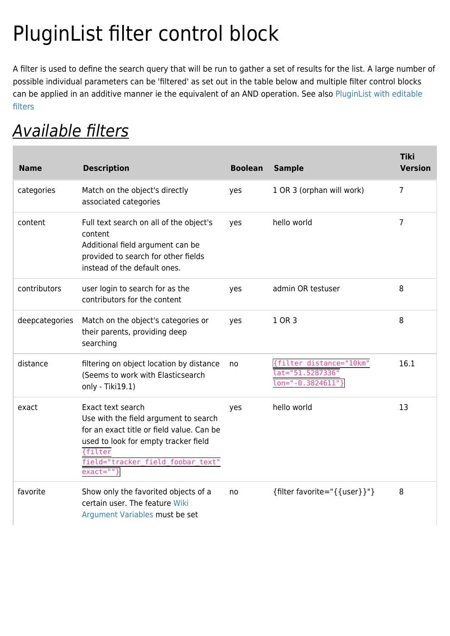# PluginList filter control block

A filter is used to define the search query that will be run to gather a set of results for the list. A large number of possible individual parameters can be 'filtered' as set out in the table below and multiple filter control blocks can be applied in an additive manner ie the equivalent of an AND operation. See also [PluginList with editable](https://doc.tiki.org/PluginList-with-editable-filters) [filters](https://doc.tiki.org/PluginList-with-editable-filters)

## Available filters

| <b>Name</b>    | <b>Description</b>                                                                                                                                                                                                           | <b>Boolean</b> | <b>Sample</b>                                                  | <b>Tiki</b><br><b>Version</b> |
|----------------|------------------------------------------------------------------------------------------------------------------------------------------------------------------------------------------------------------------------------|----------------|----------------------------------------------------------------|-------------------------------|
| categories     | Match on the object's directly<br>associated categories                                                                                                                                                                      | yes            | 1 OR 3 (orphan will work)                                      | $\overline{7}$                |
| content        | Full text search on all of the object's<br>content<br>Additional field argument can be<br>provided to search for other fields<br>instead of the default ones.                                                                | yes            | hello world                                                    | 7                             |
| contributors   | user login to search for as the<br>contributors for the content                                                                                                                                                              | yes            | admin OR testuser                                              | 8                             |
| deepcategories | Match on the object's categories or<br>their parents, providing deep<br>searching                                                                                                                                            | yes            | 1 OR 3                                                         | 8                             |
| distance       | filtering on object location by distance<br>(Seems to work with Elasticsearch<br>only - Tiki19.1)                                                                                                                            | no             | {filter distance="10km"<br>at="51.5287336"<br>on="-0.3824611"} | 16.1                          |
| exact          | Exact text search<br>Use with the field argument to search<br>for an exact title or field value. Can be<br>used to look for empty tracker field<br><i><b>filter</b></i><br>field="tracker field foobar text"<br>$exact=""\}$ | yes            | hello world                                                    | 13                            |
| favorite       | Show only the favorited objects of a<br>certain user. The feature Wiki<br>Argument Variables must be set                                                                                                                     | no             | {filter favorite=" $\{$ {user}}"}                              | 8                             |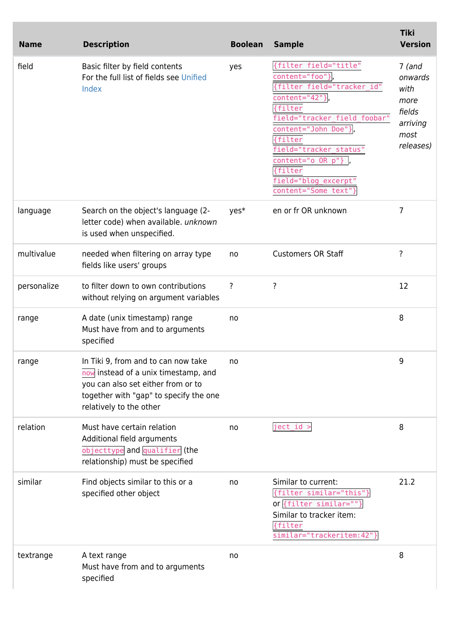| <b>Name</b> | <b>Description</b>                                                                                                                                                                     | <b>Boolean</b> | <b>Sample</b>                                                                                                                                                                                                                                                                  | <b>Tiki</b><br><b>Version</b>                                                  |
|-------------|----------------------------------------------------------------------------------------------------------------------------------------------------------------------------------------|----------------|--------------------------------------------------------------------------------------------------------------------------------------------------------------------------------------------------------------------------------------------------------------------------------|--------------------------------------------------------------------------------|
| field       | Basic filter by field contents<br>For the full list of fields see Unified<br>Index                                                                                                     | yes            | {filter field="title"<br>content="foo"},<br>{filter field="tracker_id"<br>content="42"}<br>{filter<br>field="tracker field foobar"<br>content="John Doe"}<br>{filter<br>field="tracker_status"<br>content="o OR p"}<br>{filter<br>field="blog excerpt"<br>content="Some text"} | $7$ (and<br>onwards<br>with<br>more<br>fields<br>arriving<br>most<br>releases) |
| language    | Search on the object's language (2-<br>letter code) when available. unknown<br>is used when unspecified.                                                                               | yes*           | en or fr OR unknown                                                                                                                                                                                                                                                            | $\overline{7}$                                                                 |
| multivalue  | needed when filtering on array type<br>fields like users' groups                                                                                                                       | no             | <b>Customers OR Staff</b>                                                                                                                                                                                                                                                      | ?                                                                              |
| personalize | to filter down to own contributions<br>without relying on argument variables                                                                                                           | ?              | ?                                                                                                                                                                                                                                                                              | 12                                                                             |
| range       | A date (unix timestamp) range<br>Must have from and to arguments<br>specified                                                                                                          | no             |                                                                                                                                                                                                                                                                                | 8                                                                              |
| range       | In Tiki 9, from and to can now take<br>now instead of a unix timestamp, and<br>you can also set either from or to<br>together with "gap" to specify the one<br>relatively to the other | no             |                                                                                                                                                                                                                                                                                | 9                                                                              |
| relation    | Must have certain relation<br>Additional field arguments<br>objecttype and qualifier (the<br>relationship) must be specified                                                           | no             | $ject_id >$                                                                                                                                                                                                                                                                    | 8                                                                              |
| similar     | Find objects similar to this or a<br>specified other object                                                                                                                            | no             | Similar to current:<br>{filter similar="this"}<br>or {filter similar=""}<br>Similar to tracker item:<br>{filter<br>similar="trackeritem:42"}                                                                                                                                   | 21.2                                                                           |
| textrange   | A text range<br>Must have from and to arguments<br>specified                                                                                                                           | no             |                                                                                                                                                                                                                                                                                | 8                                                                              |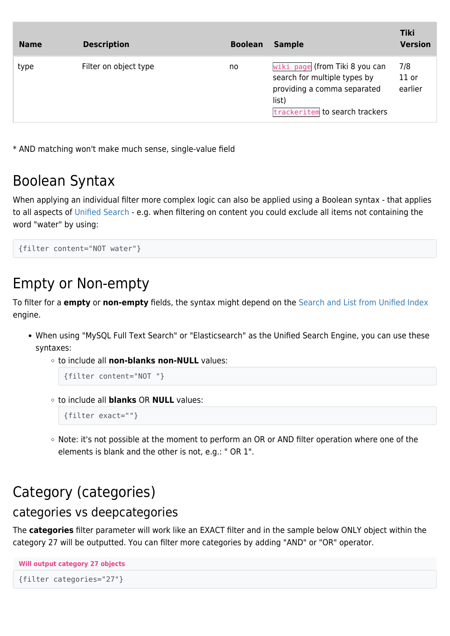| <b>Name</b> | <b>Description</b>    | <b>Boolean</b> | <b>Sample</b>                                                                                                                            | <b>Tiki</b><br><b>Version</b> |
|-------------|-----------------------|----------------|------------------------------------------------------------------------------------------------------------------------------------------|-------------------------------|
| type        | Filter on object type | no             | wiki page (from Tiki 8 you can<br>search for multiple types by<br>providing a comma separated<br>list)<br>trackeritem to search trackers | 7/8<br>$11$ or<br>earlier     |

\* AND matching won't make much sense, single-value field

### Boolean Syntax

When applying an individual filter more complex logic can also be applied using a Boolean syntax - that applies to all aspects of [Unified Search](http://dev.tiki.org/Unified%20Search) - e.g. when filtering on content you could exclude all items not containing the word "water" by using:

```
{filter content="NOT water"}
```
### Empty or Non-empty

To filter for a **empty** or **non-empty** fields, the syntax might depend on the [Search and List from Unified Index](https://doc.tiki.org/Search-and-List-from-Unified-Index) engine.

- When using "MySQL Full Text Search" or "Elasticsearch" as the Unified Search Engine, you can use these syntaxes:
	- to include all **non-blanks non-NULL** values:

```
{filter content="NOT "}
```
to include all **blanks** OR **NULL** values:

```
{filter exact=""}
```
○ Note: it's not possible at the moment to perform an OR or AND filter operation where one of the elements is blank and the other is not, e.g.: " OR 1".

### Category (categories)

#### categories vs deepcategories

The **categories** filter parameter will work like an EXACT filter and in the sample below ONLY object within the category 27 will be outputted. You can filter more categories by adding "AND" or "OR" operator.

```
Will output category 27 objects
{filter categories="27"}
```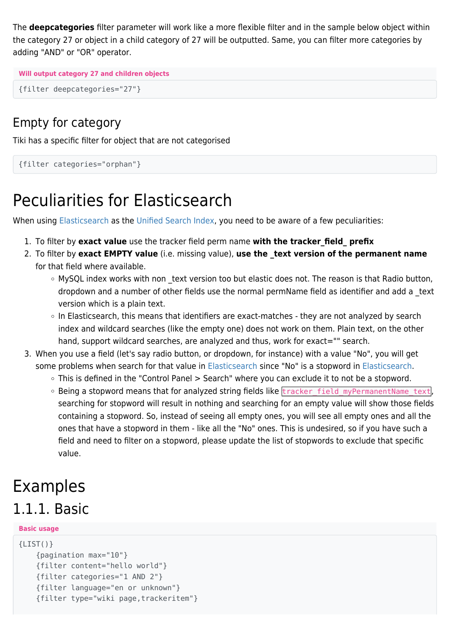The **deepcategories** filter parameter will work like a more flexible filter and in the sample below object within the category 27 or object in a child category of 27 will be outputted. Same, you can filter more categories by adding "AND" or "OR" operator.

```
Will output category 27 and children objects
```

```
{filter deepcategories="27"}
```
#### Empty for category

Tiki has a specific filter for object that are not categorised

```
{filter categories="orphan"}
```
## Peculiarities for Elasticsearch

When using [Elasticsearch](https://doc.tiki.org/Elasticsearch) as the [Unified Search Index,](https://doc.tiki.org/Search-and-List-from-Unified-Index) you need to be aware of a few peculiarities:

- 1. To filter by **exact value** use the tracker field perm name **with the tracker\_field\_ prefix**
- 2. To filter by **exact EMPTY value** (i.e. missing value), **use the \_text version of the permanent name** for that field where available.
	- MySQL index works with non text version too but elastic does not. The reason is that Radio button, dropdown and a number of other fields use the normal permName field as identifier and add a \_text version which is a plain text.
	- In Elasticsearch, this means that identifiers are exact-matches they are not analyzed by search index and wildcard searches (like the empty one) does not work on them. Plain text, on the other hand, support wildcard searches, are analyzed and thus, work for exact="" search.
- 3. When you use a field (let's say radio button, or dropdown, for instance) with a value "No", you will get some problems when search for that value in [Elasticsearch](https://doc.tiki.org/Elasticsearch) since "No" is a stopword in [Elasticsearch](https://doc.tiki.org/Elasticsearch).
	- This is defined in the "Control Panel > Search" where you can exclude it to not be a stopword.
	- o Being a stopword means that for analyzed string fields like tracker field myPermanentName text, searching for stopword will result in nothing and searching for an empty value will show those fields containing a stopword. So, instead of seeing all empty ones, you will see all empty ones and all the ones that have a stopword in them - like all the "No" ones. This is undesired, so if you have such a field and need to filter on a stopword, please update the list of stopwords to exclude that specific value.

### Examples

### 1.1.1. Basic

#### **Basic usage**

```
{LIST() } {pagination max="10"}
     {filter content="hello world"}
     {filter categories="1 AND 2"}
     {filter language="en or unknown"}
     {filter type="wiki page,trackeritem"}
```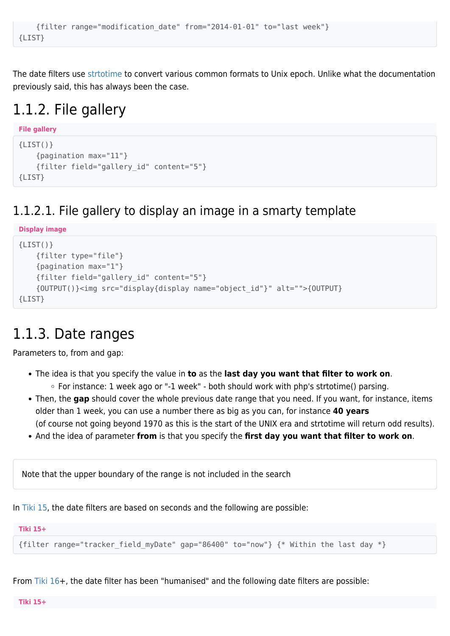```
 {filter range="modification_date" from="2014-01-01" to="last week"}
{LIST}
```
The date filters use [strtotime](https://php.net/strtotime) to convert various common formats to Unix epoch. Unlike what the documentation previously said, this has always been the case.

### 1.1.2. File gallery

```
File gallery
{LIST() } {pagination max="11"}
     {filter field="gallery_id" content="5"}
{LIST}
```
#### 1.1.2.1. File gallery to display an image in a smarty template

```
Display image
{LIST() } {filter type="file"}
     {pagination max="1"}
     {filter field="gallery_id" content="5"}
     {OUTPUT()}<img src="display{display name="object_id"}" alt="">{OUTPUT}
{LIST}
```
#### 1.1.3. Date ranges

Parameters to, from and gap:

- The idea is that you specify the value in **to** as the **last day you want that filter to work on**.  $\circ$  For instance: 1 week ago or "-1 week" - both should work with php's strtotime() parsing.
- Then, the **gap** should cover the whole previous date range that you need. If you want, for instance, items older than 1 week, you can use a number there as big as you can, for instance **40 years** (of course not going beyond 1970 as this is the start of the UNIX era and strtotime will return odd results).
- And the idea of parameter **from** is that you specify the **first day you want that filter to work on**.

Note that the upper boundary of the range is not included in the search

In [Tiki 15](https://doc.tiki.org/Tiki15), the date filters are based on seconds and the following are possible:

**Tiki 15+**

{filter range="tracker field myDate" gap="86400" to="now"}  $\{ *$  Within the last day  $*$ }

From [Tiki 16+](https://doc.tiki.org/Tiki16), the date filter has been "humanised" and the following date filters are possible: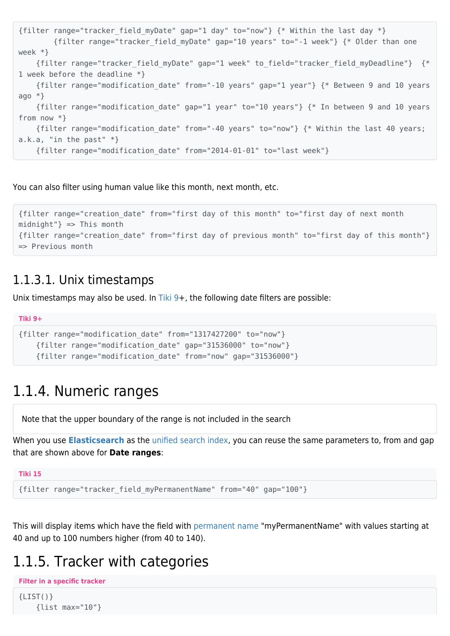```
{filter range="tracker field myDate" gap="1 day" to="now"} \{ * Within the last day *}
         {filter range="tracker_field_myDate" gap="10 years" to="-1 week"} {* Older than one
week *}
     {filter range="tracker_field_myDate" gap="1 week" to_field="tracker_field_myDeadline"} {*
1 week before the deadline *}
     {filter range="modification_date" from="-10 years" gap="1 year"} {* Between 9 and 10 years
ago *}
    {filter range="modification_date" gap="1 year" to="10 years"} {* In between 9 and 10 years
from now *}
    {filter range="modification_date" from="-40 years" to="now"} {* Within the last 40 years;
a.k.a. "in the past" *}
     {filter range="modification_date" from="2014-01-01" to="last week"}
```
You can also filter using human value like this month, next month, etc.

```
{filter range="creation_date" from="first day of this month" to="first day of next month
mid"} => This month
{filter range="creation_date" from="first day of previous month" to="first day of this month"}
=> Previous month
```
#### 1.1.3.1. Unix timestamps

Unix timestamps may also be used. In Tiki  $9+$ , the following date filters are possible:

```
Tiki 9+
{filter range="modification_date" from="1317427200" to="now"}
     {filter range="modification_date" gap="31536000" to="now"}
     {filter range="modification_date" from="now" gap="31536000"}
```
#### 1.1.4. Numeric ranges

Note that the upper boundary of the range is not included in the search

When you use **[Elasticsearch](https://doc.tiki.org/Elasticsearch)** as the [unified search index,](https://doc.tiki.org/Search-and-List-from-Unified-Index) you can reuse the same parameters to, from and gap that are shown above for **Date ranges**:

```
Tiki 15
{filter range="tracker_field_myPermanentName" from="40" gap="100"}
```
This will display items which have the field with [permanent name](https://doc.tiki.org/Permanent-Names) "myPermanentName" with values starting at 40 and up to 100 numbers higher (from 40 to 140).

#### 1.1.5. Tracker with categories

```
Filter in a specific tracker
{LIST() } {list max="10"}
```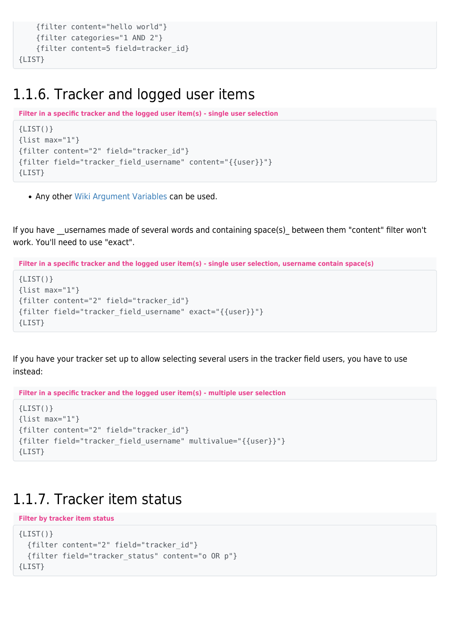```
 {filter content="hello world"}
     {filter categories="1 AND 2"}
     {filter content=5 field=tracker_id}
{LIST}
```
#### 1.1.6. Tracker and logged user items

```
Filter in a specific tracker and the logged user item(s) - single user selection
{LIST()}
{list max="1"}
{filter content="2" field="tracker_id"}
{filter field="tracker_field_username" content="{{user}}"}
{LIST}
```
• Any other [Wiki Argument Variables](https://doc.tiki.org/Wiki-Argument-Variables) can be used.

If you have usernames made of several words and containing space(s) between them "content" filter won't work. You'll need to use "exact".

**Filter in a specific tracker and the logged user item(s) - single user selection, username contain space(s)**

```
{LIST()}
{list max="1"}
{filter content="2" field="tracker_id"}
{filter field="tracker_field_username" exact="{{user}}"}
{LIST}
```
If you have your tracker set up to allow selecting several users in the tracker field users, you have to use instead:

```
Filter in a specific tracker and the logged user item(s) - multiple user selection
```

```
{LIST() }{list max="1"}
{filter content="2" field="tracker_id"}
{filter field="tracker_field_username" multivalue="{{user}}"}
{LIST}
```
#### 1.1.7. Tracker item status

```
Filter by tracker item status
{LIST() } {filter content="2" field="tracker_id"}
   {filter field="tracker_status" content="o OR p"}
{LIST}
```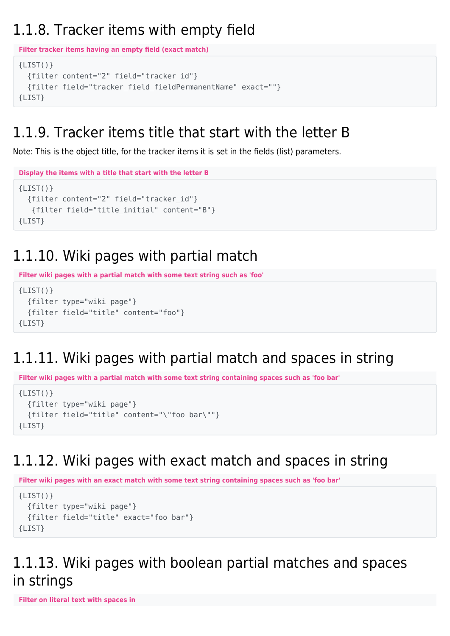#### 1.1.8. Tracker items with empty field

```
Filter tracker items having an empty field (exact match)
{LIST()} {filter content="2" field="tracker_id"}
   {filter field="tracker_field_fieldPermanentName" exact=""}
{LIST}
```
#### 1.1.9. Tracker items title that start with the letter B

Note: This is the object title, for the tracker items it is set in the fields (list) parameters.

```
Display the items with a title that start with the letter B
{LIST()}
   {filter content="2" field="tracker_id"}
    {filter field="title_initial" content="B"}
{LIST}
```
### 1.1.10. Wiki pages with partial match

**Filter wiki pages with a partial match with some text string such as 'foo'**

```
{LIST() } {filter type="wiki page"}
   {filter field="title" content="foo"}
{LIST}
```
### 1.1.11. Wiki pages with partial match and spaces in string

**Filter wiki pages with a partial match with some text string containing spaces such as 'foo bar'**

```
{LIST()}
   {filter type="wiki page"}
   {filter field="title" content="\"foo bar\""}
{LIST}
```
### 1.1.12. Wiki pages with exact match and spaces in string

**Filter wiki pages with an exact match with some text string containing spaces such as 'foo bar'**

```
{LIST() } {filter type="wiki page"}
   {filter field="title" exact="foo bar"}
\{I TST\}
```
#### 1.1.13. Wiki pages with boolean partial matches and spaces in strings

**Filter on literal text with spaces in**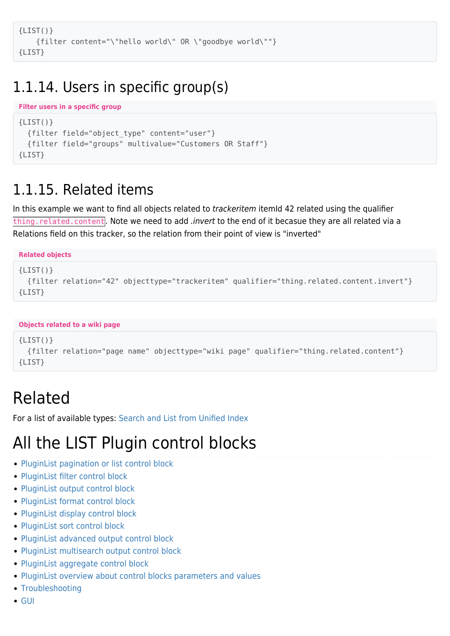```
{LIST()}
     {filter content="\"hello world\" OR \"goodbye world\""}
{LIST}
```
#### 1.1.14. Users in specific group(s)

```
Filter users in a specific group
{LIST() } {filter field="object_type" content="user"}
   {filter field="groups" multivalue="Customers OR Staff"}
{LIST}
```
#### 1.1.15. Related items

In this example we want to find all objects related to *trackeritem* itemId 42 related using the qualifier thing. related. content. Note we need to add *.invert* to the end of it becasue they are all related via a Relations field on this tracker, so the relation from their point of view is "inverted"

```
Related objects
{LIST() } {filter relation="42" objecttype="trackeritem" qualifier="thing.related.content.invert"}
{LIST}
```

```
Objects related to a wiki page
```

```
{LIST() } {filter relation="page name" objecttype="wiki page" qualifier="thing.related.content"}
{LIST}
```
### Related

For a list of available types: [Search and List from Unified Index](https://doc.tiki.org/Search-and-List-from-Unified-Index)

## All the LIST Plugin control blocks

- [PluginList pagination or list control block](https://doc.tiki.org/PluginList-pagination-or-list-control-block)
- [PluginList filter control block](https://doc.tiki.org/PluginList-filter-control-block)
- [PluginList output control block](https://doc.tiki.org/PluginList-output-control-block)
- [PluginList format control block](https://doc.tiki.org/PluginList-format-control-block)
- [PluginList display control block](https://doc.tiki.org/PluginList-display-control-block)
- [PluginList sort control block](https://doc.tiki.org/PluginList-sort-control-block)
- [PluginList advanced output control block](https://doc.tiki.org/PluginList-advanced-output-control-block)
- [PluginList multisearch output control block](https://doc.tiki.org/PluginList-multisearch-output-control-block)
- [PluginList aggregate control block](https://doc.tiki.org/PluginList-aggregate-control-block)
- [PluginList overview about control blocks parameters and values](https://doc.tiki.org/PluginList-overview-about-control-blocks-parameters-and-values)
- [Troubleshooting](https://doc.tiki.org/PluginList---Troubleshooting-The-List-Plugin)
- $\bullet$  [GUI](https://doc.tiki.org/PluginList---Graphical-User-Interface)